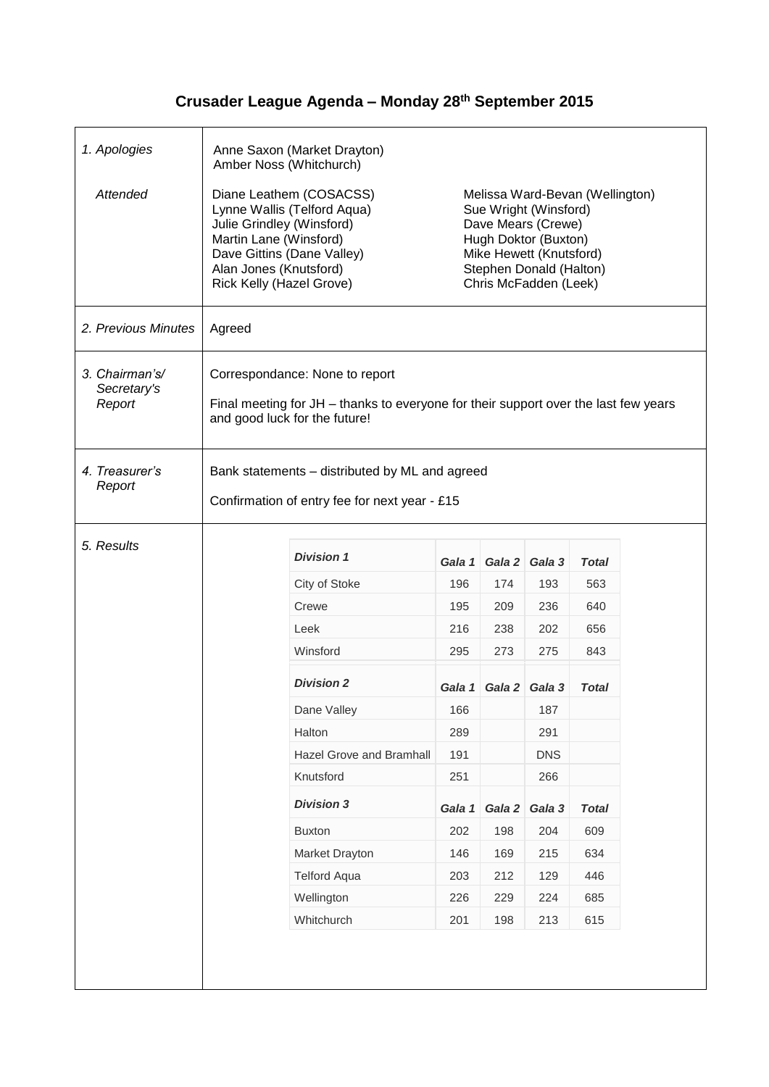## **Crusader League Agenda – Monday 28th September 2015**

| 1. Apologies                            | Anne Saxon (Market Drayton)<br>Amber Noss (Whitchurch)                                                                                                                                            |                          |        |                                                                                                                                                                                       |               |              |  |
|-----------------------------------------|---------------------------------------------------------------------------------------------------------------------------------------------------------------------------------------------------|--------------------------|--------|---------------------------------------------------------------------------------------------------------------------------------------------------------------------------------------|---------------|--------------|--|
| Attended                                | Diane Leathem (COSACSS)<br>Lynne Wallis (Telford Aqua)<br>Julie Grindley (Winsford)<br>Martin Lane (Winsford)<br>Dave Gittins (Dane Valley)<br>Alan Jones (Knutsford)<br>Rick Kelly (Hazel Grove) |                          |        | Melissa Ward-Bevan (Wellington)<br>Sue Wright (Winsford)<br>Dave Mears (Crewe)<br>Hugh Doktor (Buxton)<br>Mike Hewett (Knutsford)<br>Stephen Donald (Halton)<br>Chris McFadden (Leek) |               |              |  |
| 2. Previous Minutes                     | Agreed                                                                                                                                                                                            |                          |        |                                                                                                                                                                                       |               |              |  |
| 3. Chairman's/<br>Secretary's<br>Report | Correspondance: None to report<br>Final meeting for JH – thanks to everyone for their support over the last few years<br>and good luck for the future!                                            |                          |        |                                                                                                                                                                                       |               |              |  |
| 4. Treasurer's<br>Report                | Bank statements - distributed by ML and agreed<br>Confirmation of entry fee for next year - £15                                                                                                   |                          |        |                                                                                                                                                                                       |               |              |  |
| 5. Results                              |                                                                                                                                                                                                   | <b>Division 1</b>        | Gala 1 |                                                                                                                                                                                       | Gala 2 Gala 3 | Total        |  |
|                                         |                                                                                                                                                                                                   | City of Stoke            | 196    | 174                                                                                                                                                                                   | 193           | 563          |  |
|                                         |                                                                                                                                                                                                   | Crewe                    | 195    | 209                                                                                                                                                                                   | 236           | 640          |  |
|                                         |                                                                                                                                                                                                   | Leek                     | 216    | 238                                                                                                                                                                                   | 202           | 656          |  |
|                                         |                                                                                                                                                                                                   | Winsford                 | 295    | 273                                                                                                                                                                                   | 275           | 843          |  |
|                                         |                                                                                                                                                                                                   | <b>Division 2</b>        | Gala 1 |                                                                                                                                                                                       | Gala 2 Gala 3 | Total        |  |
|                                         |                                                                                                                                                                                                   | Dane Valley              | 166    |                                                                                                                                                                                       | 187           |              |  |
|                                         |                                                                                                                                                                                                   | Halton                   | 289    |                                                                                                                                                                                       | 291           |              |  |
|                                         |                                                                                                                                                                                                   | Hazel Grove and Bramhall | 191    |                                                                                                                                                                                       | <b>DNS</b>    |              |  |
|                                         |                                                                                                                                                                                                   | Knutsford                | 251    |                                                                                                                                                                                       | 266           |              |  |
|                                         |                                                                                                                                                                                                   |                          |        |                                                                                                                                                                                       |               |              |  |
|                                         |                                                                                                                                                                                                   | <b>Division 3</b>        | Gala 1 | Gala 2                                                                                                                                                                                | Gala 3        | <b>Total</b> |  |
|                                         |                                                                                                                                                                                                   | <b>Buxton</b>            | 202    | 198                                                                                                                                                                                   | 204           | 609          |  |
|                                         |                                                                                                                                                                                                   | Market Drayton           | 146    | 169                                                                                                                                                                                   | 215           | 634          |  |
|                                         |                                                                                                                                                                                                   | <b>Telford Aqua</b>      | 203    | 212                                                                                                                                                                                   | 129           | 446          |  |
|                                         |                                                                                                                                                                                                   | Wellington               | 226    | 229                                                                                                                                                                                   | 224           | 685          |  |